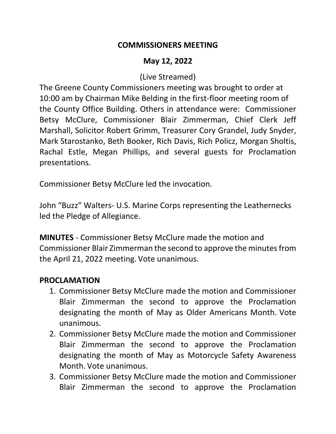#### **COMMISSIONERS MEETING**

## **May 12, 2022**

### (Live Streamed)

The Greene County Commissioners meeting was brought to order at 10:00 am by Chairman Mike Belding in the first-floor meeting room of the County Office Building. Others in attendance were: Commissioner Betsy McClure, Commissioner Blair Zimmerman, Chief Clerk Jeff Marshall, Solicitor Robert Grimm, Treasurer Cory Grandel, Judy Snyder, Mark Starostanko, Beth Booker, Rich Davis, Rich Policz, Morgan Sholtis, Rachal Estle, Megan Phillips, and several guests for Proclamation presentations.

Commissioner Betsy McClure led the invocation.

John "Buzz" Walters- U.S. Marine Corps representing the Leathernecks led the Pledge of Allegiance.

**MINUTES** - Commissioner Betsy McClure made the motion and Commissioner Blair Zimmerman the second to approve the minutes from the April 21, 2022 meeting. Vote unanimous.

### **PROCLAMATION**

- 1. Commissioner Betsy McClure made the motion and Commissioner Blair Zimmerman the second to approve the Proclamation designating the month of May as Older Americans Month. Vote unanimous.
- 2. Commissioner Betsy McClure made the motion and Commissioner Blair Zimmerman the second to approve the Proclamation designating the month of May as Motorcycle Safety Awareness Month. Vote unanimous.
- 3. Commissioner Betsy McClure made the motion and Commissioner Blair Zimmerman the second to approve the Proclamation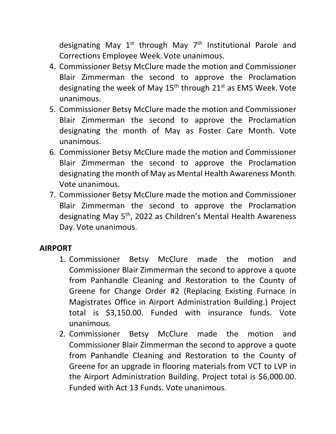designating May  $1^{st}$  through May  $7^{th}$  Institutional Parole and Corrections Employee Week. Vote unanimous.

- 4. Commissioner Betsy McClure made the motion and Commissioner Blair Zimmerman the second to approve the Proclamation designating the week of May  $15<sup>th</sup>$  through  $21<sup>st</sup>$  as EMS Week. Vote unanimous.
- 5. Commissioner Betsy McClure made the motion and Commissioner Blair Zimmerman the second to approve the Proclamation designating the month of May as Foster Care Month. Vote unanimous.
- 6. Commissioner Betsy McClure made the motion and Commissioner Blair Zimmerman the second to approve the Proclamation designating the month of May as Mental Health Awareness Month. Vote unanimous.
- 7. Commissioner Betsy McClure made the motion and Commissioner Blair Zimmerman the second to approve the Proclamation designating May 5<sup>th</sup>, 2022 as Children's Mental Health Awareness Day. Vote unanimous.

# **AIRPORT**

- 1. Commissioner Betsy McClure made the motion and Commissioner Blair Zimmerman the second to approve a quote from Panhandle Cleaning and Restoration to the County of Greene for Change Order #2 (Replacing Existing Furnace in Magistrates Office in Airport Administration Building.) Project total is \$3,150.00. Funded with insurance funds. Vote unanimous.
- 2. Commissioner Betsy McClure made the motion and Commissioner Blair Zimmerman the second to approve a quote from Panhandle Cleaning and Restoration to the County of Greene for an upgrade in flooring materials from VCT to LVP in the Airport Administration Building. Project total is \$6,000.00. Funded with Act 13 Funds. Vote unanimous.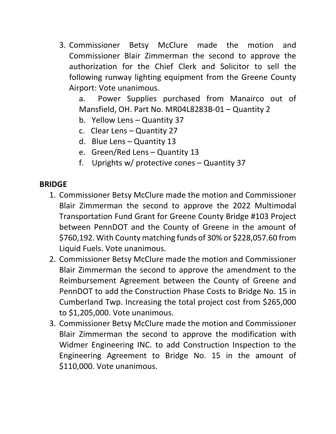3. Commissioner Betsy McClure made the motion and Commissioner Blair Zimmerman the second to approve the authorization for the Chief Clerk and Solicitor to sell the following runway lighting equipment from the Greene County Airport: Vote unanimous.

a. Power Supplies purchased from Manairco out of Mansfield, OH. Part No. MR04L8283B-01 – Quantity 2

- b. Yellow Lens Quantity 37
- c. Clear Lens Quantity 27
- d. Blue Lens Quantity 13
- e. Green/Red Lens Quantity 13
- f. Uprights w/ protective cones Quantity 37

### **BRIDGE**

- 1. Commissioner Betsy McClure made the motion and Commissioner Blair Zimmerman the second to approve the 2022 Multimodal Transportation Fund Grant for Greene County Bridge #103 Project between PennDOT and the County of Greene in the amount of \$760,192. With County matching funds of 30% or \$228,057.60 from Liquid Fuels. Vote unanimous.
- 2. Commissioner Betsy McClure made the motion and Commissioner Blair Zimmerman the second to approve the amendment to the Reimbursement Agreement between the County of Greene and PennDOT to add the Construction Phase Costs to Bridge No. 15 in Cumberland Twp. Increasing the total project cost from \$265,000 to \$1,205,000. Vote unanimous.
- 3. Commissioner Betsy McClure made the motion and Commissioner Blair Zimmerman the second to approve the modification with Widmer Engineering INC. to add Construction Inspection to the Engineering Agreement to Bridge No. 15 in the amount of \$110,000. Vote unanimous.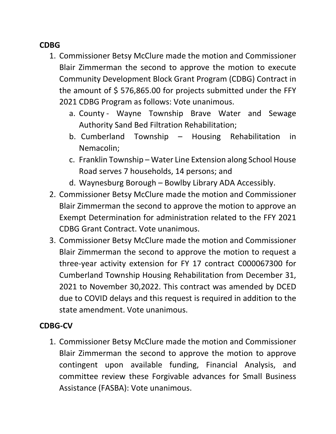### **CDBG**

- 1. Commissioner Betsy McClure made the motion and Commissioner Blair Zimmerman the second to approve the motion to execute Community Development Block Grant Program (CDBG) Contract in the amount of \$ 576,865.00 for projects submitted under the FFY 2021 CDBG Program as follows: Vote unanimous.
	- a. County Wayne Township Brave Water and Sewage Authority Sand Bed Filtration Rehabilitation;
	- b. Cumberland Township Housing Rehabilitation in Nemacolin;
	- c. Franklin Township Water Line Extension along School House Road serves 7 households, 14 persons; and
	- d. Waynesburg Borough Bowlby Library ADA Accessibly.
- 2. Commissioner Betsy McClure made the motion and Commissioner Blair Zimmerman the second to approve the motion to approve an Exempt Determination for administration related to the FFY 2021 CDBG Grant Contract. Vote unanimous.
- 3. Commissioner Betsy McClure made the motion and Commissioner Blair Zimmerman the second to approve the motion to request a three-year activity extension for FY 17 contract C000067300 for Cumberland Township Housing Rehabilitation from December 31, 2021 to November 30,2022. This contract was amended by DCED due to COVID delays and this request is required in addition to the state amendment. Vote unanimous.

### **CDBG-CV**

1. Commissioner Betsy McClure made the motion and Commissioner Blair Zimmerman the second to approve the motion to approve contingent upon available funding, Financial Analysis, and committee review these Forgivable advances for Small Business Assistance (FASBA): Vote unanimous.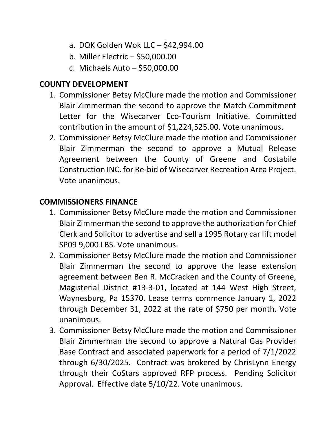- a. DQK Golden Wok LLC \$42,994.00
- b. Miller Electric \$50,000.00
- c. Michaels Auto \$50,000.00

#### **COUNTY DEVELOPMENT**

- 1. Commissioner Betsy McClure made the motion and Commissioner Blair Zimmerman the second to approve the Match Commitment Letter for the Wisecarver Eco-Tourism Initiative. Committed contribution in the amount of \$1,224,525.00. Vote unanimous.
- 2. Commissioner Betsy McClure made the motion and Commissioner Blair Zimmerman the second to approve a Mutual Release Agreement between the County of Greene and Costabile Construction INC. for Re-bid of Wisecarver Recreation Area Project. Vote unanimous.

#### **COMMISSIONERS FINANCE**

- 1. Commissioner Betsy McClure made the motion and Commissioner Blair Zimmerman the second to approve the authorization for Chief Clerk and Solicitor to advertise and sell a 1995 Rotary car lift model SP09 9,000 LBS. Vote unanimous.
- 2. Commissioner Betsy McClure made the motion and Commissioner Blair Zimmerman the second to approve the lease extension agreement between Ben R. McCracken and the County of Greene, Magisterial District #13-3-01, located at 144 West High Street, Waynesburg, Pa 15370. Lease terms commence January 1, 2022 through December 31, 2022 at the rate of \$750 per month. Vote unanimous.
- 3. Commissioner Betsy McClure made the motion and Commissioner Blair Zimmerman the second to approve a Natural Gas Provider Base Contract and associated paperwork for a period of 7/1/2022 through 6/30/2025. Contract was brokered by ChrisLynn Energy through their CoStars approved RFP process. Pending Solicitor Approval. Effective date 5/10/22. Vote unanimous.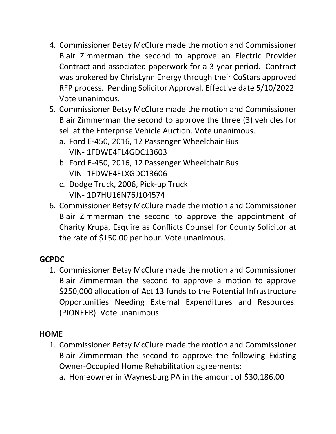- 4. Commissioner Betsy McClure made the motion and Commissioner Blair Zimmerman the second to approve an Electric Provider Contract and associated paperwork for a 3-year period. Contract was brokered by ChrisLynn Energy through their CoStars approved RFP process. Pending Solicitor Approval. Effective date 5/10/2022. Vote unanimous.
- 5. Commissioner Betsy McClure made the motion and Commissioner Blair Zimmerman the second to approve the three (3) vehicles for sell at the Enterprise Vehicle Auction. Vote unanimous.
	- a. Ford E-450, 2016, 12 Passenger Wheelchair Bus VIN- 1FDWE4FL4GDC13603
	- b. Ford E-450, 2016, 12 Passenger Wheelchair Bus VIN- 1FDWE4FLXGDC13606
	- c. Dodge Truck, 2006, Pick-up Truck VIN- 1D7HU16N76J104574
- 6. Commissioner Betsy McClure made the motion and Commissioner Blair Zimmerman the second to approve the appointment of Charity Krupa, Esquire as Conflicts Counsel for County Solicitor at the rate of \$150.00 per hour. Vote unanimous.

# **GCPDC**

1. Commissioner Betsy McClure made the motion and Commissioner Blair Zimmerman the second to approve a motion to approve \$250,000 allocation of Act 13 funds to the Potential Infrastructure Opportunities Needing External Expenditures and Resources. (PIONEER). Vote unanimous.

### **HOME**

- 1. Commissioner Betsy McClure made the motion and Commissioner Blair Zimmerman the second to approve the following Existing Owner-Occupied Home Rehabilitation agreements:
	- a. Homeowner in Waynesburg PA in the amount of \$30,186.00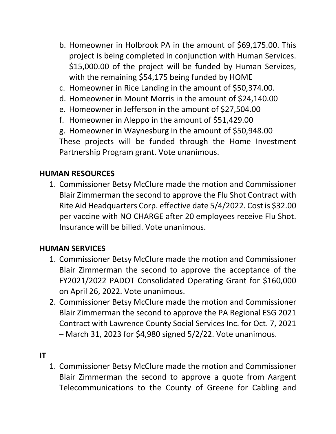- b. Homeowner in Holbrook PA in the amount of \$69,175.00. This project is being completed in conjunction with Human Services. \$15,000.00 of the project will be funded by Human Services, with the remaining \$54,175 being funded by HOME
- c. Homeowner in Rice Landing in the amount of \$50,374.00.
- d. Homeowner in Mount Morris in the amount of \$24,140.00
- e. Homeowner in Jefferson in the amount of \$27,504.00
- f. Homeowner in Aleppo in the amount of \$51,429.00

g. Homeowner in Waynesburg in the amount of \$50,948.00 These projects will be funded through the Home Investment Partnership Program grant. Vote unanimous.

# **HUMAN RESOURCES**

1. Commissioner Betsy McClure made the motion and Commissioner Blair Zimmerman the second to approve the Flu Shot Contract with Rite Aid Headquarters Corp. effective date 5/4/2022. Cost is \$32.00 per vaccine with NO CHARGE after 20 employees receive Flu Shot. Insurance will be billed. Vote unanimous.

# **HUMAN SERVICES**

- 1. Commissioner Betsy McClure made the motion and Commissioner Blair Zimmerman the second to approve the acceptance of the FY2021/2022 PADOT Consolidated Operating Grant for \$160,000 on April 26, 2022. Vote unanimous.
- 2. Commissioner Betsy McClure made the motion and Commissioner Blair Zimmerman the second to approve the PA Regional ESG 2021 Contract with Lawrence County Social Services Inc. for Oct. 7, 2021 – March 31, 2023 for \$4,980 signed 5/2/22. Vote unanimous.

# **IT**

1. Commissioner Betsy McClure made the motion and Commissioner Blair Zimmerman the second to approve a quote from Aargent Telecommunications to the County of Greene for Cabling and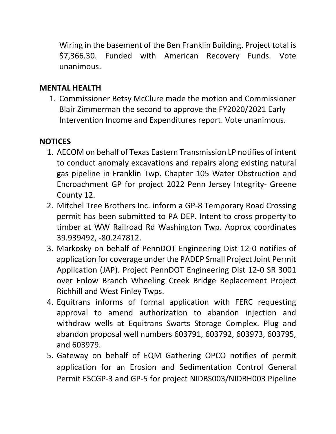Wiring in the basement of the Ben Franklin Building. Project total is \$7,366.30. Funded with American Recovery Funds. Vote unanimous.

# **MENTAL HEALTH**

1. Commissioner Betsy McClure made the motion and Commissioner Blair Zimmerman the second to approve the FY2020/2021 Early Intervention Income and Expenditures report. Vote unanimous.

# **NOTICES**

- 1. AECOM on behalf of Texas Eastern Transmission LP notifies of intent to conduct anomaly excavations and repairs along existing natural gas pipeline in Franklin Twp. Chapter 105 Water Obstruction and Encroachment GP for project 2022 Penn Jersey Integrity- Greene County 12.
- 2. Mitchel Tree Brothers Inc. inform a GP-8 Temporary Road Crossing permit has been submitted to PA DEP. Intent to cross property to timber at WW Railroad Rd Washington Twp. Approx coordinates 39.939492, -80.247812.
- 3. Markosky on behalf of PennDOT Engineering Dist 12-0 notifies of application for coverage under the PADEP Small Project Joint Permit Application (JAP). Project PennDOT Engineering Dist 12-0 SR 3001 over Enlow Branch Wheeling Creek Bridge Replacement Project Richhill and West Finley Twps.
- 4. Equitrans informs of formal application with FERC requesting approval to amend authorization to abandon injection and withdraw wells at Equitrans Swarts Storage Complex. Plug and abandon proposal well numbers 603791, 603792, 603973, 603795, and 603979.
- 5. Gateway on behalf of EQM Gathering OPCO notifies of permit application for an Erosion and Sedimentation Control General Permit ESCGP-3 and GP-5 for project NIDBS003/NIDBH003 Pipeline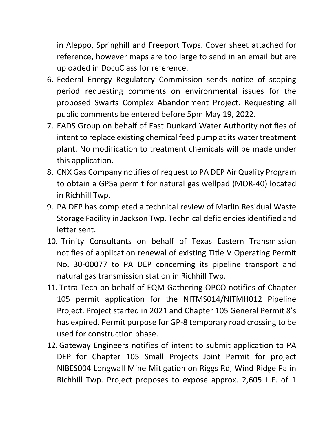in Aleppo, Springhill and Freeport Twps. Cover sheet attached for reference, however maps are too large to send in an email but are uploaded in DocuClass for reference.

- 6. Federal Energy Regulatory Commission sends notice of scoping period requesting comments on environmental issues for the proposed Swarts Complex Abandonment Project. Requesting all public comments be entered before 5pm May 19, 2022.
- 7. EADS Group on behalf of East Dunkard Water Authority notifies of intent to replace existing chemical feed pump at its water treatment plant. No modification to treatment chemicals will be made under this application.
- 8. CNX Gas Company notifies of request to PA DEP Air Quality Program to obtain a GP5a permit for natural gas wellpad (MOR-40) located in Richhill Twp.
- 9. PA DEP has completed a technical review of Marlin Residual Waste Storage Facility in Jackson Twp. Technical deficiencies identified and letter sent.
- 10. Trinity Consultants on behalf of Texas Eastern Transmission notifies of application renewal of existing Title V Operating Permit No. 30-00077 to PA DEP concerning its pipeline transport and natural gas transmission station in Richhill Twp.
- 11. Tetra Tech on behalf of EQM Gathering OPCO notifies of Chapter 105 permit application for the NITMS014/NITMH012 Pipeline Project. Project started in 2021 and Chapter 105 General Permit 8's has expired. Permit purpose for GP-8 temporary road crossing to be used for construction phase.
- 12.Gateway Engineers notifies of intent to submit application to PA DEP for Chapter 105 Small Projects Joint Permit for project NIBES004 Longwall Mine Mitigation on Riggs Rd, Wind Ridge Pa in Richhill Twp. Project proposes to expose approx. 2,605 L.F. of 1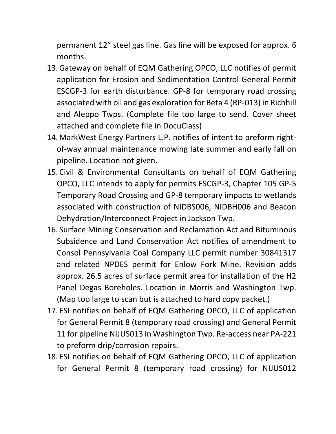permanent 12" steel gas line. Gas line will be exposed for approx. 6 months.

- 13.Gateway on behalf of EQM Gathering OPCO, LLC notifies of permit application for Erosion and Sedimentation Control General Permit ESCGP-3 for earth disturbance. GP-8 for temporary road crossing associated with oil and gas exploration for Beta 4 (RP-013) in Richhill and Aleppo Twps. (Complete file too large to send. Cover sheet attached and complete file in DocuClass)
- 14. MarkWest Energy Partners L.P. notifies of intent to preform rightof-way annual maintenance mowing late summer and early fall on pipeline. Location not given.
- 15. Civil & Environmental Consultants on behalf of EQM Gathering OPCO, LLC intends to apply for permits ESCGP-3, Chapter 105 GP-5 Temporary Road Crossing and GP-8 temporary impacts to wetlands associated with construction of NIDBS006, NIDBH006 and Beacon Dehydration/Interconnect Project in Jackson Twp.
- 16. Surface Mining Conservation and Reclamation Act and Bituminous Subsidence and Land Conservation Act notifies of amendment to Consol Pennsylvania Coal Company LLC permit number 30841317 and related NPDES permit for Enlow Fork Mine. Revision adds approx. 26.5 acres of surface permit area for installation of the H2 Panel Degas Boreholes. Location in Morris and Washington Twp. (Map too large to scan but is attached to hard copy packet.)
- 17. ESI notifies on behalf of EQM Gathering OPCO, LLC of application for General Permit 8 (temporary road crossing) and General Permit 11 for pipeline NIJUS013 in Washington Twp. Re-access near PA-221 to preform drip/corrosion repairs.
- 18. ESI notifies on behalf of EQM Gathering OPCO, LLC of application for General Permit 8 (temporary road crossing) for NIJUS012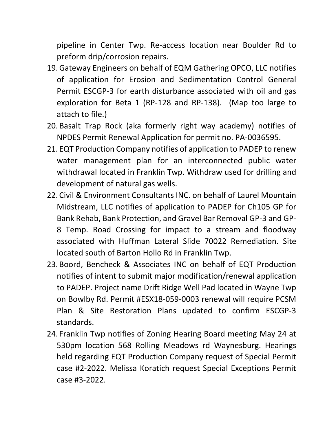pipeline in Center Twp. Re-access location near Boulder Rd to preform drip/corrosion repairs.

- 19.Gateway Engineers on behalf of EQM Gathering OPCO, LLC notifies of application for Erosion and Sedimentation Control General Permit ESCGP-3 for earth disturbance associated with oil and gas exploration for Beta 1 (RP-128 and RP-138). (Map too large to attach to file.)
- 20. Basalt Trap Rock (aka formerly right way academy) notifies of NPDES Permit Renewal Application for permit no. PA-0036595.
- 21. EQT Production Company notifies of application to PADEP to renew water management plan for an interconnected public water withdrawal located in Franklin Twp. Withdraw used for drilling and development of natural gas wells.
- 22. Civil & Environment Consultants INC. on behalf of Laurel Mountain Midstream, LLC notifies of application to PADEP for Ch105 GP for Bank Rehab, Bank Protection, and Gravel Bar Removal GP-3 and GP-8 Temp. Road Crossing for impact to a stream and floodway associated with Huffman Lateral Slide 70022 Remediation. Site located south of Barton Hollo Rd in Franklin Twp.
- 23. Boord, Bencheck & Associates INC on behalf of EQT Production notifies of intent to submit major modification/renewal application to PADEP. Project name Drift Ridge Well Pad located in Wayne Twp on Bowlby Rd. Permit #ESX18-059-0003 renewal will require PCSM Plan & Site Restoration Plans updated to confirm ESCGP-3 standards.
- 24. Franklin Twp notifies of Zoning Hearing Board meeting May 24 at 530pm location 568 Rolling Meadows rd Waynesburg. Hearings held regarding EQT Production Company request of Special Permit case #2-2022. Melissa Koratich request Special Exceptions Permit case #3-2022.